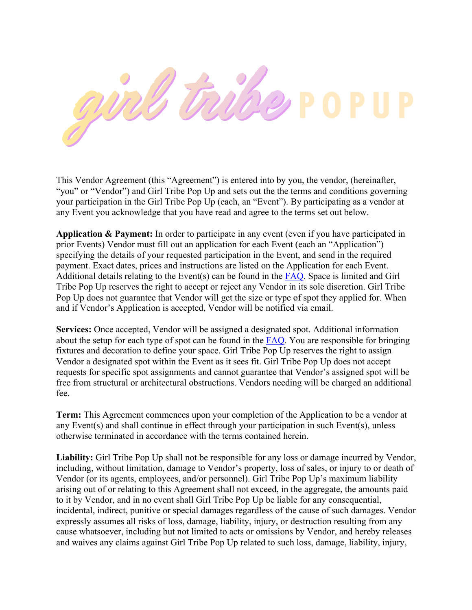

This Vendor Agreement (this "Agreement") is entered into by you, the vendor, (hereinafter, "you" or "Vendor") and Girl Tribe Pop Up and sets out the the terms and conditions governing your participation in the Girl Tribe Pop Up (each, an "Event"). By participating as a vendor at any Event you acknowledge that you have read and agree to the terms set out below.

**Application & Payment:** In order to participate in any event (even if you have participated in prior Events) Vendor must fill out an application for each Event (each an "Application") specifying the details of your requested participation in the Event, and send in the required payment. Exact dates, prices and instructions are listed on the Application for each Event. Additional details relating to the Event(s) can be found in the FAQ. Space is limited and Girl Tribe Pop Up reserves the right to accept or reject any Vendor in its sole discretion. Girl Tribe Pop Up does not guarantee that Vendor will get the size or type of spot they applied for. When and if Vendor's Application is accepted, Vendor will be notified via email.

**Services:** Once accepted, Vendor will be assigned a designated spot. Additional information about the setup for each type of spot can be found in the FAQ. You are responsible for bringing fixtures and decoration to define your space. Girl Tribe Pop Up reserves the right to assign Vendor a designated spot within the Event as it sees fit. Girl Tribe Pop Up does not accept requests for specific spot assignments and cannot guarantee that Vendor's assigned spot will be free from structural or architectural obstructions. Vendors needing will be charged an additional fee.

**Term:** This Agreement commences upon your completion of the Application to be a vendor at any Event(s) and shall continue in effect through your participation in such Event(s), unless otherwise terminated in accordance with the terms contained herein.

**Liability:** Girl Tribe Pop Up shall not be responsible for any loss or damage incurred by Vendor, including, without limitation, damage to Vendor's property, loss of sales, or injury to or death of Vendor (or its agents, employees, and/or personnel). Girl Tribe Pop Up's maximum liability arising out of or relating to this Agreement shall not exceed, in the aggregate, the amounts paid to it by Vendor, and in no event shall Girl Tribe Pop Up be liable for any consequential, incidental, indirect, punitive or special damages regardless of the cause of such damages. Vendor expressly assumes all risks of loss, damage, liability, injury, or destruction resulting from any cause whatsoever, including but not limited to acts or omissions by Vendor, and hereby releases and waives any claims against Girl Tribe Pop Up related to such loss, damage, liability, injury,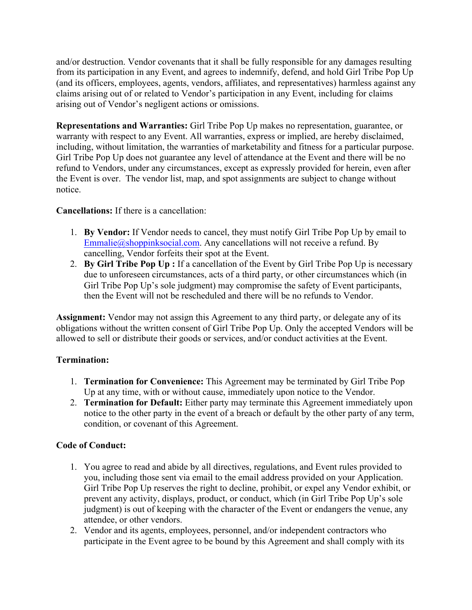and/or destruction. Vendor covenants that it shall be fully responsible for any damages resulting from its participation in any Event, and agrees to indemnify, defend, and hold Girl Tribe Pop Up (and its officers, employees, agents, vendors, affiliates, and representatives) harmless against any claims arising out of or related to Vendor's participation in any Event, including for claims arising out of Vendor's negligent actions or omissions.

**Representations and Warranties:** Girl Tribe Pop Up makes no representation, guarantee, or warranty with respect to any Event. All warranties, express or implied, are hereby disclaimed, including, without limitation, the warranties of marketability and fitness for a particular purpose. Girl Tribe Pop Up does not guarantee any level of attendance at the Event and there will be no refund to Vendors, under any circumstances, except as expressly provided for herein, even after the Event is over. The vendor list, map, and spot assignments are subject to change without notice.

## **Cancellations:** If there is a cancellation:

- 1. **By Vendor:** If Vendor needs to cancel, they must notify Girl Tribe Pop Up by email to Emmalie@shoppinksocial.com. Any cancellations will not receive a refund. By cancelling, Vendor forfeits their spot at the Event.
- 2. **By Girl Tribe Pop Up :** If a cancellation of the Event by Girl Tribe Pop Up is necessary due to unforeseen circumstances, acts of a third party, or other circumstances which (in Girl Tribe Pop Up's sole judgment) may compromise the safety of Event participants, then the Event will not be rescheduled and there will be no refunds to Vendor.

**Assignment:** Vendor may not assign this Agreement to any third party, or delegate any of its obligations without the written consent of Girl Tribe Pop Up. Only the accepted Vendors will be allowed to sell or distribute their goods or services, and/or conduct activities at the Event.

## **Termination:**

- 1. **Termination for Convenience:** This Agreement may be terminated by Girl Tribe Pop Up at any time, with or without cause, immediately upon notice to the Vendor.
- 2. **Termination for Default:** Either party may terminate this Agreement immediately upon notice to the other party in the event of a breach or default by the other party of any term, condition, or covenant of this Agreement.

## **Code of Conduct:**

- 1. You agree to read and abide by all directives, regulations, and Event rules provided to you, including those sent via email to the email address provided on your Application. Girl Tribe Pop Up reserves the right to decline, prohibit, or expel any Vendor exhibit, or prevent any activity, displays, product, or conduct, which (in Girl Tribe Pop Up's sole judgment) is out of keeping with the character of the Event or endangers the venue, any attendee, or other vendors.
- 2. Vendor and its agents, employees, personnel, and/or independent contractors who participate in the Event agree to be bound by this Agreement and shall comply with its